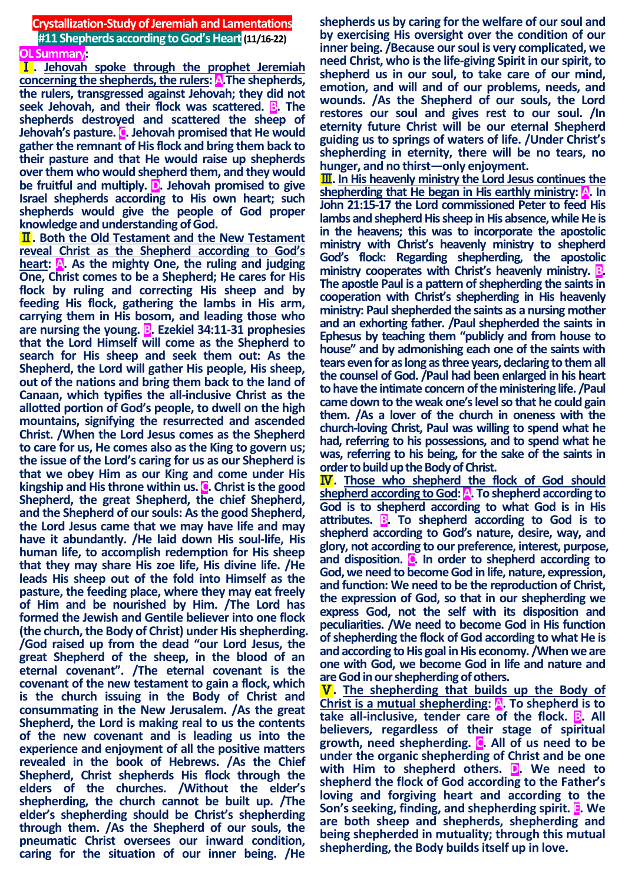#### **Crystallization-Study of Jeremiah and Lamentations #11 Shepherds according to God's Heart(11/16-22) OL Summary:**

Ⅰ**. Jehovah spoke through the prophet Jeremiah concerning the shepherds, the rulers: A.The shepherds, the rulers, transgressed against Jehovah; they did not seek Jehovah, and their flock was scattered. B. The shepherds destroyed and scattered the sheep of Jehovah's pasture. C. Jehovah promised that He would gather the remnant of His flock and bring them back to their pasture and that He would raise up shepherds over them who would shepherd them, and they would be fruitful and multiply. D. Jehovah promised to give Israel shepherds according to His own heart; such shepherds would give the people of God proper knowledge and understanding of God.**

Ⅱ**. Both the Old Testament and the New Testament reveal Christ as the Shepherd according to God's heart: A. As the mighty One, the ruling and judging One, Christ comes to be a Shepherd; He cares for His flock by ruling and correcting His sheep and by feeding His flock, gathering the lambs in His arm, carrying them in His bosom, and leading those who are nursing the young. B. Ezekiel 34:11-31 prophesies that the Lord Himself will come as the Shepherd to search for His sheep and seek them out: As the Shepherd, the Lord will gather His people, His sheep, out of the nations and bring them back to the land of Canaan, which typifies the all-inclusive Christ as the allotted portion of God's people, to dwell on the high mountains, signifying the resurrected and ascended Christ. /When the Lord Jesus comes as the Shepherd to care for us, He comes also as the King to govern us; the issue of the Lord's caring for us as our Shepherd is that we obey Him as our King and come under His kingship and His throne within us. C. Christ is the good Shepherd, the great Shepherd, the chief Shepherd, and the Shepherd of our souls: As the good Shepherd, the Lord Jesus came that we may have life and may have it abundantly. /He laid down His soul-life, His human life, to accomplish redemption for His sheep that they may share His zoe life, His divine life. /He leads His sheep out of the fold into Himself as the pasture, the feeding place, where they may eat freely of Him and be nourished by Him. /The Lord has formed the Jewish and Gentile believer into one flock (the church, the Body of Christ) under His shepherding. /God raised up from the dead "our Lord Jesus, the great Shepherd of the sheep, in the blood of an eternal covenant". /The eternal covenant is the covenant of the new testament to gain a flock, which is the church issuing in the Body of Christ and consummating in the New Jerusalem. /As the great Shepherd, the Lord is making real to us the contents of the new covenant and is leading us into the experience and enjoyment of all the positive matters revealed in the book of Hebrews. /As the Chief Shepherd, Christ shepherds His flock through the elders of the churches. /Without the elder's shepherding, the church cannot be built up. /The elder's shepherding should be Christ's shepherding through them. /As the Shepherd of our souls, the pneumatic Christ oversees our inward condition, caring for the situation of our inner being. /He** 

**shepherds us by caring for the welfare of our soul and by exercising His oversight over the condition of our inner being. /Because our soul is very complicated, we need Christ, who is the life-giving Spirit in our spirit, to shepherd us in our soul, to take care of our mind, emotion, and will and of our problems, needs, and wounds. /As the Shepherd of our souls, the Lord restores our soul and gives rest to our soul. /In eternity future Christ will be our eternal Shepherd guiding us to springs of waters of life. /Under Christ's shepherding in eternity, there will be no tears, no hunger, and no thirst—only enjoyment.**

Ⅲ**. In His heavenly ministry the Lord Jesus continues the shepherding that He began in His earthly ministry: A. In John 21:15-17 the Lord commissioned Peter to feed His lambs and shepherd His sheep in His absence, while He is in the heavens; this was to incorporate the apostolic ministry with Christ's heavenly ministry to shepherd God's flock: Regarding shepherding, the apostolic ministry cooperates with Christ's heavenly ministry. <b>B**. **The apostle Paul is a pattern of shepherding the saints in cooperation with Christ's shepherding in His heavenly ministry: Paul shepherded the saints as a nursing mother and an exhorting father. /Paul shepherded the saints in Ephesus by teaching them "publicly and from house to house" and by admonishing each one of the saints with tears even for as long as three years, declaring to them all the counsel of God. /Paul had been enlarged in his heart to have the intimate concern of the ministering life. /Paul came down to the weak one's level so that he could gain them. /As a lover of the church in oneness with the church-loving Christ, Paul was willing to spend what he had, referring to his possessions, and to spend what he was, referring to his being, for the sake of the saints in order to build up the Body of Christ.**

Ⅳ**. Those who shepherd the flock of God should**  shepherd according to God: A. To shepherd according to **God is to shepherd according to what God is in His attributes. B. To shepherd according to God is to shepherd according to God's nature, desire, way, and glory, not according to our preference, interest, purpose, and disposition. C. In order to shepherd according to God, we need to become God in life, nature, expression, and function: We need to be the reproduction of Christ, the expression of God, so that in our shepherding we express God, not the self with its disposition and peculiarities. /We need to become God in His function of shepherding the flock of God according to what He is and according to His goal in His economy. /When we are one with God, we become God in life and nature and are God in our shepherding of others.**

Ⅴ**. The shepherding that builds up the Body of Christ is a mutual shepherding: A. To shepherd is to take all-inclusive, tender care of the flock. B. All believers, regardless of their stage of spiritual growth, need shepherding. C. All of us need to be under the organic shepherding of Christ and be one with Him to shepherd others. D. We need to shepherd the flock of God according to the Father's loving and forgiving heart and according to the Son's seeking, finding, and shepherding spirit. E. We are both sheep and shepherds, shepherding and being shepherded in mutuality; through this mutual shepherding, the Body builds itself up in love.**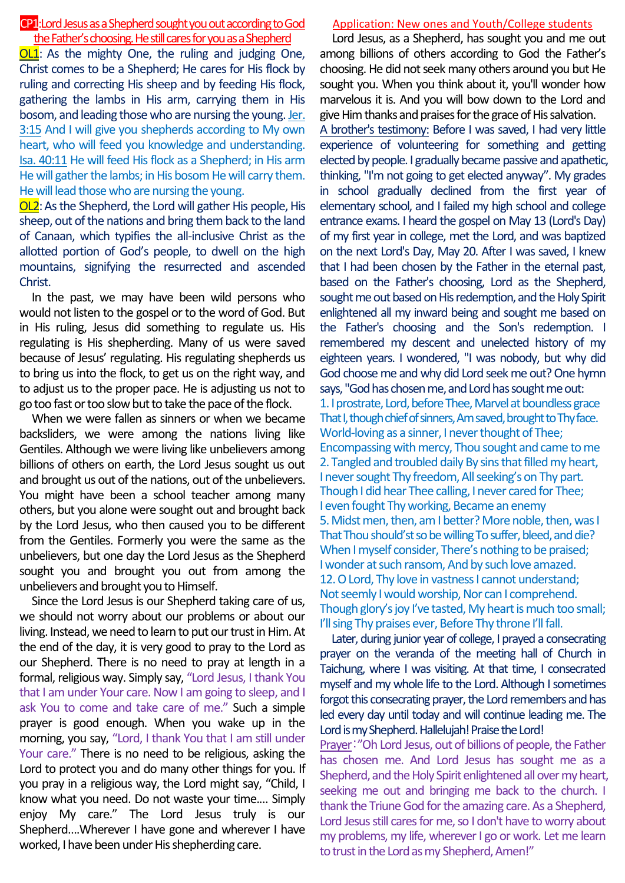## CP1:Lord Jesus as a Shepherd sought you out according to God the Father's choosing. He still cares for you as a Shepherd

OL1: As the mighty One, the ruling and judging One, Christ comes to be a Shepherd; He cares for His flock by ruling and correcting His sheep and by feeding His flock, gathering the lambs in His arm, carrying them in His bosom, and leading those who are nursing the young. Jer. 3:15 And I will give you shepherds according to My own heart, who will feed you knowledge and understanding. Isa. 40:11 He will feed His flock as a Shepherd; in His arm He will gather the lambs; in His bosom He will carry them. He will lead those who are nursing the young.

OL2:As the Shepherd, the Lord will gather His people, His sheep, out of the nations and bring them back to the land of Canaan, which typifies the all-inclusive Christ as the allotted portion of God's people, to dwell on the high mountains, signifying the resurrected and ascended Christ.

In the past, we may have been wild persons who would not listen to the gospel or to the word of God. But in His ruling, Jesus did something to regulate us. His regulating is His shepherding. Many of us were saved because of Jesus' regulating. His regulating shepherds us to bring us into the flock, to get us on the right way, and to adjust us to the proper pace. He is adjusting us not to go too fast or too slow but to take the pace of the flock.

When we were fallen as sinners or when we became backsliders, we were among the nations living like Gentiles. Although we were living like unbelievers among billions of others on earth, the Lord Jesus sought us out and brought us out of the nations, out of the unbelievers. You might have been a school teacher among many others, but you alone were sought out and brought back by the Lord Jesus, who then caused you to be different from the Gentiles. Formerly you were the same as the unbelievers, but one day the Lord Jesus as the Shepherd sought you and brought you out from among the unbelievers and brought you to Himself.

Since the Lord Jesus is our Shepherd taking care of us, we should not worry about our problems or about our living. Instead, we need to learn to put our trust in Him. At the end of the day, it is very good to pray to the Lord as our Shepherd. There is no need to pray at length in a formal, religious way. Simply say, "Lord Jesus, I thank You that I am under Your care. Now I am going to sleep, and I ask You to come and take care of me." Such a simple prayer is good enough. When you wake up in the morning, you say, "Lord, I thank You that I am still under Your care." There is no need to be religious, asking the Lord to protect you and do many other things for you. If you pray in a religious way, the Lord might say, "Child, I know what you need. Do not waste your time.… Simply enjoy My care." The Lord Jesus truly is our Shepherd….Wherever I have gone and wherever I have worked, I have been under His shepherding care.

### Application: New ones and Youth/College students

Lord Jesus, as a Shepherd, has sought you and me out among billions of others according to God the Father's choosing. He did not seek many others around you but He sought you. When you think about it, you'll wonder how marvelous it is. And you will bow down to the Lord and give Him thanks and praises for the grace of His salvation.

A brother's testimony: Before I was saved, I had very little experience of volunteering for something and getting elected by people. I gradually became passive and apathetic, thinking, "I'm not going to get elected anyway". My grades in school gradually declined from the first year of elementary school, and I failed my high school and college entrance exams. I heard the gospel on May 13 (Lord's Day) of my first year in college, met the Lord, and was baptized on the next Lord's Day, May 20. After I was saved, I knew that I had been chosen by the Father in the eternal past, based on the Father's choosing, Lord as the Shepherd, sought me out based on His redemption, and the Holy Spirit enlightened all my inward being and sought me based on the Father's choosing and the Son's redemption. I remembered my descent and unelected history of my eighteen years. I wondered, "I was nobody, but why did God choose me and why did Lord seekme out? One hymn says, "God has chosen me, and Lord has sought me out: 1. I prostrate, Lord, before Thee, Marvel at boundless grace That I, though chief of sinners,Am saved, brought to Thy face. World-loving as a sinner, I never thought of Thee; Encompassing with mercy, Thou sought and came to me 2. Tangled and troubled daily By sins that filled my heart, I never sought Thy freedom, All seeking's on Thy part. Though I did hear Thee calling, I never cared for Thee; I even fought Thy working, Became an enemy 5. Midst men, then, am I better? More noble, then, was I That Thou should'st so be willing To suffer, bleed, and die? When I myself consider, There's nothing to be praised; I wonder at such ransom, And by such love amazed. 12. O Lord. Thy love in vastness I cannot understand: Not seemly I would worship, Nor can I comprehend. Though glory's joy I've tasted, My heart is much too small; I'll sing Thy praises ever, Before Thy throne I'll fall.

Later, during junior year of college, I prayed a consecrating prayer on the veranda of the meeting hall of Church in Taichung, where I was visiting. At that time, I consecrated myself and my whole life to the Lord. Although I sometimes forgot this consecrating prayer, the Lord remembers and has led every day until today and will continue leading me. The Lord is my Shepherd. Hallelujah! Praise the Lord!

Prayer:"Oh Lord Jesus, out of billions of people, the Father has chosen me. And Lord Jesus has sought me as a Shepherd, and the Holy Spirit enlightened all over my heart, seeking me out and bringing me back to the church. I thank the Triune God for the amazing care. As a Shepherd, Lord Jesus still cares for me, so I don't have to worry about my problems, my life, wherever I go or work. Let me learn to trust in the Lord as my Shepherd, Amen!"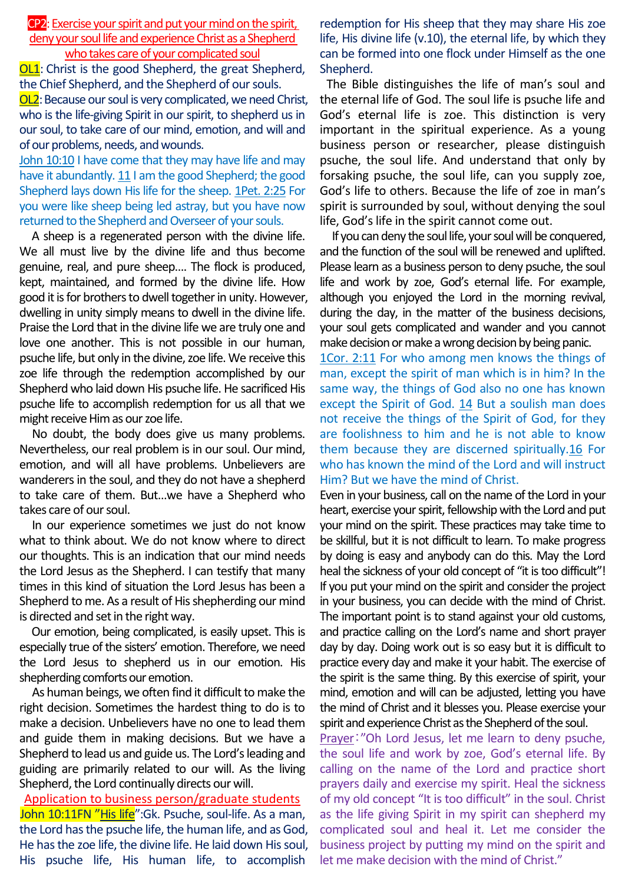CP2: Exercise your spirit and put your mind on the spirit, deny your soul life and experience Christ as a Shepherd who takes care of your complicated soul

**OL1**: Christ is the good Shepherd, the great Shepherd, the Chief Shepherd, and the Shepherd of our souls.

OL2: Because our soul is very complicated, we need Christ, who is the life-giving Spirit in our spirit, to shepherd us in our soul, to take care of our mind, emotion, and will and of our problems, needs, and wounds.

John 10:10 I have come that they may have life and may have it abundantly. 11 I am the good Shepherd; the good Shepherd lays down His life for the sheep. 1Pet. 2:25 For you were like sheep being led astray, but you have now returned to the Shepherd and Overseer of your souls.

A sheep is a regenerated person with the divine life. We all must live by the divine life and thus become genuine, real, and pure sheep…. The flock is produced, kept, maintained, and formed by the divine life. How good it is for brothers to dwell together in unity. However, dwelling in unity simply means to dwell in the divine life. Praise the Lord that in the divine life we are truly one and love one another. This is not possible in our human, psuche life, but only in the divine, zoe life. We receive this zoe life through the redemption accomplished by our Shepherd who laid down His psuche life. He sacrificed His psuche life to accomplish redemption for us all that we might receive Him as our zoe life.

No doubt, the body does give us many problems. Nevertheless, our real problem is in our soul. Our mind, emotion, and will all have problems. Unbelievers are wanderers in the soul, and they do not have a shepherd to take care of them. But…we have a Shepherd who takes care of our soul.

In our experience sometimes we just do not know what to think about. We do not know where to direct our thoughts. This is an indication that our mind needs the Lord Jesus as the Shepherd. I can testify that many times in this kind of situation the Lord Jesus has been a Shepherd to me. As a result of His shepherding our mind is directed and set in the right way.

Our emotion, being complicated, is easily upset. This is especially true of the sisters' emotion. Therefore, we need the Lord Jesus to shepherd us in our emotion. His shepherding comforts our emotion.

As human beings, we often find it difficult to make the right decision. Sometimes the hardest thing to do is to make a decision. Unbelievers have no one to lead them and guide them in making decisions. But we have a Shepherd to lead us and guide us. The Lord's leading and guiding are primarily related to our will. As the living Shepherd, the Lord continually directs our will.

Application to business person/graduate students John 10:11FN "His life": Gk. Psuche, soul-life. As a man, the Lord has the psuche life, the human life, and as God, He has the zoe life, the divine life. He laid down His soul, His psuche life, His human life, to accomplish

redemption for His sheep that they may share His zoe life, His divine life (v.10), the eternal life, by which they can be formed into one flock under Himself as the one Shepherd.

The Bible distinguishes the life of man's soul and the eternal life of God. The soul life is psuche life and God's eternal life is zoe. This distinction is very important in the spiritual experience. As a young business person or researcher, please distinguish psuche, the soul life. And understand that only by forsaking psuche, the soul life, can you supply zoe, God's life to others. Because the life of zoe in man's spirit is surrounded by soul, without denying the soul life, God's life in the spirit cannot come out.

If you can deny the soul life, your soul will be conquered, and the function of the soul will be renewed and uplifted. Please learn as a business person to deny psuche, the soul life and work by zoe, God's eternal life. For example, although you enjoyed the Lord in the morning revival, during the day, in the matter of the business decisions, your soul gets complicated and wander and you cannot make decision or make a wrong decision by being panic.

1Cor. 2:11 For who among men knows the things of man, except the spirit of man which is in him? In the same way, the things of God also no one has known except the Spirit of God. 14 But a soulish man does not receive the things of the Spirit of God, for they are foolishness to him and he is not able to know them because they are discerned spiritually.16 For who has known the mind of the Lord and will instruct Him? But we have the mind of Christ.

Even in your business, call on the name of the Lord in your heart, exercise your spirit, fellowship with the Lord and put your mind on the spirit. These practices may take time to be skillful, but it is not difficult to learn. To make progress by doing is easy and anybody can do this. May the Lord heal the sickness of your old concept of "it is too difficult"! If you put your mind on the spirit and consider the project in your business, you can decide with the mind of Christ. The important point is to stand against your old customs, and practice calling on the Lord's name and short prayer day by day. Doing work out is so easy but it is difficult to practice every day and make it your habit. The exercise of the spirit is the same thing. By this exercise of spirit, your mind, emotion and will can be adjusted, letting you have the mind of Christ and it blesses you. Please exercise your spirit and experience Christ as the Shepherd of the soul.

Prayer:"Oh Lord Jesus, let me learn to deny psuche, the soul life and work by zoe, God's eternal life. By calling on the name of the Lord and practice short prayers daily and exercise my spirit. Heal the sickness of my old concept "It is too difficult" in the soul. Christ as the life giving Spirit in my spirit can shepherd my complicated soul and heal it. Let me consider the business project by putting my mind on the spirit and let me make decision with the mind of Christ."